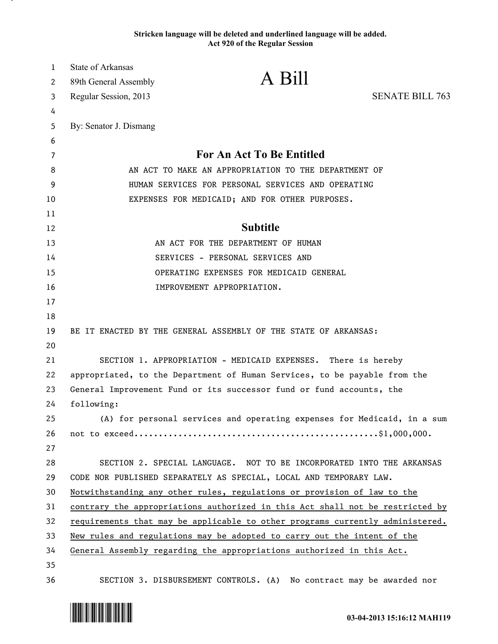## **Stricken language will be deleted and underlined language will be added. Act 920 of the Regular Session**

| $\mathbf{1}$ | <b>State of Arkansas</b>                                                      |                                                                               |                        |
|--------------|-------------------------------------------------------------------------------|-------------------------------------------------------------------------------|------------------------|
| 2            | 89th General Assembly                                                         | A Bill                                                                        |                        |
| 3            | Regular Session, 2013                                                         |                                                                               | <b>SENATE BILL 763</b> |
| 4            |                                                                               |                                                                               |                        |
| 5            | By: Senator J. Dismang                                                        |                                                                               |                        |
| 6            |                                                                               |                                                                               |                        |
| 7            | <b>For An Act To Be Entitled</b>                                              |                                                                               |                        |
| 8            | AN ACT TO MAKE AN APPROPRIATION TO THE DEPARTMENT OF                          |                                                                               |                        |
| 9            | HUMAN SERVICES FOR PERSONAL SERVICES AND OPERATING                            |                                                                               |                        |
| 10           |                                                                               | EXPENSES FOR MEDICAID; AND FOR OTHER PURPOSES.                                |                        |
| 11           |                                                                               |                                                                               |                        |
| 12           |                                                                               | <b>Subtitle</b>                                                               |                        |
| 13           |                                                                               | AN ACT FOR THE DEPARTMENT OF HUMAN                                            |                        |
| 14           |                                                                               | SERVICES - PERSONAL SERVICES AND                                              |                        |
| 15           |                                                                               | OPERATING EXPENSES FOR MEDICAID GENERAL                                       |                        |
| 16           |                                                                               | IMPROVEMENT APPROPRIATION.                                                    |                        |
| 17           |                                                                               |                                                                               |                        |
| 18           |                                                                               |                                                                               |                        |
| 19           |                                                                               | BE IT ENACTED BY THE GENERAL ASSEMBLY OF THE STATE OF ARKANSAS:               |                        |
| 20           |                                                                               |                                                                               |                        |
| 21           |                                                                               | SECTION 1. APPROPRIATION - MEDICAID EXPENSES. There is hereby                 |                        |
| 22           |                                                                               | appropriated, to the Department of Human Services, to be payable from the     |                        |
| 23           | General Improvement Fund or its successor fund or fund accounts, the          |                                                                               |                        |
| 24           | following:                                                                    |                                                                               |                        |
| 25           |                                                                               | (A) for personal services and operating expenses for Medicaid, in a sum       |                        |
| 26           |                                                                               |                                                                               |                        |
| 27           |                                                                               |                                                                               |                        |
| 28           |                                                                               | SECTION 2. SPECIAL LANGUAGE. NOT TO BE INCORPORATED INTO THE ARKANSAS         |                        |
| 29           |                                                                               | CODE NOR PUBLISHED SEPARATELY AS SPECIAL, LOCAL AND TEMPORARY LAW.            |                        |
| 30           | Notwithstanding any other rules, regulations or provision of law to the       |                                                                               |                        |
| 31           |                                                                               | contrary the appropriations authorized in this Act shall not be restricted by |                        |
| 32           | requirements that may be applicable to other programs currently administered. |                                                                               |                        |
| 33           | New rules and regulations may be adopted to carry out the intent of the       |                                                                               |                        |
| 34           |                                                                               | General Assembly regarding the appropriations authorized in this Act.         |                        |
| 35           |                                                                               |                                                                               |                        |
| 36           |                                                                               | SECTION 3. DISBURSEMENT CONTROLS. (A) No contract may be awarded nor          |                        |



.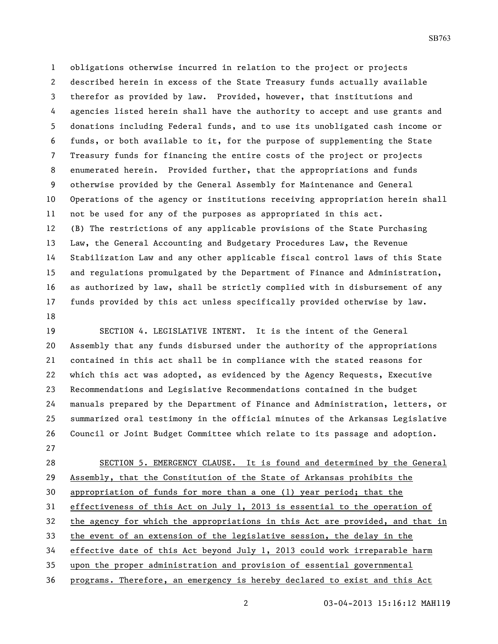obligations otherwise incurred in relation to the project or projects described herein in excess of the State Treasury funds actually available therefor as provided by law. Provided, however, that institutions and agencies listed herein shall have the authority to accept and use grants and donations including Federal funds, and to use its unobligated cash income or funds, or both available to it, for the purpose of supplementing the State Treasury funds for financing the entire costs of the project or projects enumerated herein. Provided further, that the appropriations and funds otherwise provided by the General Assembly for Maintenance and General Operations of the agency or institutions receiving appropriation herein shall not be used for any of the purposes as appropriated in this act. (B) The restrictions of any applicable provisions of the State Purchasing Law, the General Accounting and Budgetary Procedures Law, the Revenue Stabilization Law and any other applicable fiscal control laws of this State and regulations promulgated by the Department of Finance and Administration, as authorized by law, shall be strictly complied with in disbursement of any funds provided by this act unless specifically provided otherwise by law. 

 SECTION 4. LEGISLATIVE INTENT. It is the intent of the General Assembly that any funds disbursed under the authority of the appropriations contained in this act shall be in compliance with the stated reasons for which this act was adopted, as evidenced by the Agency Requests, Executive Recommendations and Legislative Recommendations contained in the budget manuals prepared by the Department of Finance and Administration, letters, or summarized oral testimony in the official minutes of the Arkansas Legislative Council or Joint Budget Committee which relate to its passage and adoption. 

 SECTION 5. EMERGENCY CLAUSE. It is found and determined by the General Assembly, that the Constitution of the State of Arkansas prohibits the appropriation of funds for more than a one (1) year period; that the effectiveness of this Act on July 1, 2013 is essential to the operation of the agency for which the appropriations in this Act are provided, and that in the event of an extension of the legislative session, the delay in the effective date of this Act beyond July 1, 2013 could work irreparable harm upon the proper administration and provision of essential governmental programs. Therefore, an emergency is hereby declared to exist and this Act

03-04-2013 15:16:12 MAH119